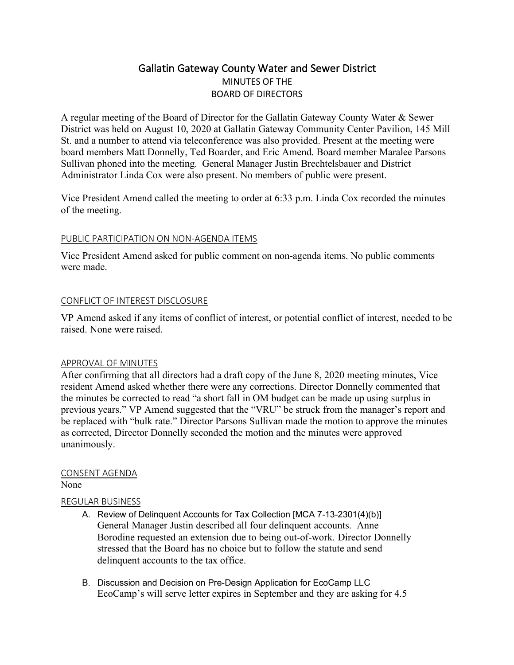# Gallatin Gateway County Water and Sewer District MINUTES OF THE BOARD OF DIRECTORS

A regular meeting of the Board of Director for the Gallatin Gateway County Water & Sewer District was held on August 10, 2020 at Gallatin Gateway Community Center Pavilion, 145 Mill St. and a number to attend via teleconference was also provided. Present at the meeting were board members Matt Donnelly, Ted Boarder, and Eric Amend. Board member Maralee Parsons Sullivan phoned into the meeting. General Manager Justin Brechtelsbauer and District Administrator Linda Cox were also present. No members of public were present.

Vice President Amend called the meeting to order at 6:33 p.m. Linda Cox recorded the minutes of the meeting.

### PUBLIC PARTICIPATION ON NON-AGENDA ITEMS

Vice President Amend asked for public comment on non-agenda items. No public comments were made.

#### CONFLICT OF INTEREST DISCLOSURE

VP Amend asked if any items of conflict of interest, or potential conflict of interest, needed to be raised. None were raised.

### APPROVAL OF MINUTES

After confirming that all directors had a draft copy of the June 8, 2020 meeting minutes, Vice resident Amend asked whether there were any corrections. Director Donnelly commented that the minutes be corrected to read "a short fall in OM budget can be made up using surplus in previous years." VP Amend suggested that the "VRU" be struck from the manager's report and be replaced with "bulk rate." Director Parsons Sullivan made the motion to approve the minutes as corrected, Director Donnelly seconded the motion and the minutes were approved unanimously.

# CONSENT AGENDA

None

### REGULAR BUSINESS

- A. Review of Delinquent Accounts for Tax Collection [MCA 7-13-2301(4)(b)] General Manager Justin described all four delinquent accounts. Anne Borodine requested an extension due to being out-of-work. Director Donnelly stressed that the Board has no choice but to follow the statute and send delinquent accounts to the tax office.
- B. Discussion and Decision on Pre-Design Application for EcoCamp LLC EcoCamp's will serve letter expires in September and they are asking for 4.5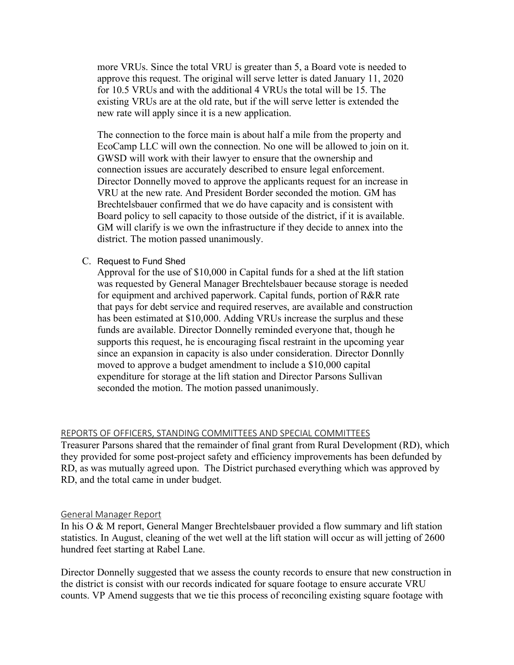more VRUs. Since the total VRU is greater than 5, a Board vote is needed to approve this request. The original will serve letter is dated January 11, 2020 for 10.5 VRUs and with the additional 4 VRUs the total will be 15. The existing VRUs are at the old rate, but if the will serve letter is extended the new rate will apply since it is a new application.

The connection to the force main is about half a mile from the property and EcoCamp LLC will own the connection. No one will be allowed to join on it. GWSD will work with their lawyer to ensure that the ownership and connection issues are accurately described to ensure legal enforcement. Director Donnelly moved to approve the applicants request for an increase in VRU at the new rate. And President Border seconded the motion. GM has Brechtelsbauer confirmed that we do have capacity and is consistent with Board policy to sell capacity to those outside of the district, if it is available. GM will clarify is we own the infrastructure if they decide to annex into the district. The motion passed unanimously.

#### C. Request to Fund Shed

Approval for the use of \$10,000 in Capital funds for a shed at the lift station was requested by General Manager Brechtelsbauer because storage is needed for equipment and archived paperwork. Capital funds, portion of R&R rate that pays for debt service and required reserves, are available and construction has been estimated at \$10,000. Adding VRUs increase the surplus and these funds are available. Director Donnelly reminded everyone that, though he supports this request, he is encouraging fiscal restraint in the upcoming year since an expansion in capacity is also under consideration. Director Donnlly moved to approve a budget amendment to include a \$10,000 capital expenditure for storage at the lift station and Director Parsons Sullivan seconded the motion. The motion passed unanimously.

#### REPORTS OF OFFICERS, STANDING COMMITTEES AND SPECIAL COMMITTEES

Treasurer Parsons shared that the remainder of final grant from Rural Development (RD), which they provided for some post-project safety and efficiency improvements has been defunded by RD, as was mutually agreed upon. The District purchased everything which was approved by RD, and the total came in under budget.

#### General Manager Report

In his O & M report, General Manger Brechtelsbauer provided a flow summary and lift station statistics. In August, cleaning of the wet well at the lift station will occur as will jetting of 2600 hundred feet starting at Rabel Lane.

Director Donnelly suggested that we assess the county records to ensure that new construction in the district is consist with our records indicated for square footage to ensure accurate VRU counts. VP Amend suggests that we tie this process of reconciling existing square footage with